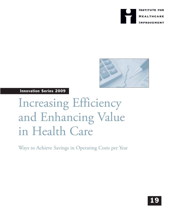



Innovation Series 2009

# Increasing Efficiency and Enhancing Value in Health Care

Ways to Achieve Savings in Operating Costs per Year

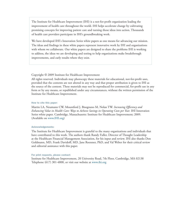The Institute for Healthcare Improvement (IHI) is a not-for-profit organization leading the improvement of health care throughout the world. IHI helps accelerate change by cultivating promising concepts for improving patient care and turning those ideas into action. Thousands of health care providers participate in IHI's groundbreaking work.

We have developed IHI's Innovation Series white papers as one means for advancing our mission. The ideas and findings in these white papers represent innovative work by IHI and organizations with whom we collaborate. Our white papers are designed to share the problems IHI is working to address, the ideas we are developing and testing to help organizations make breakthrough improvements, and early results where they exist.

## Copyright © 2009 Institute for Healthcare Improvement

All rights reserved. Individuals may photocopy these materials for educational, not-for-profit uses, provided that the contents are not altered in any way and that proper attribution is given to IHI as the source of the content. These materials may not be reproduced for commercial, for-profit use in any form or by any means, or republished under any circumstances, without the written permission of the Institute for Healthcare Improvement.

## How to cite this paper:

Martin LA, Neumann CW, Mountford J, Bisognano M, Nolan TW. *Increasing Efficiency and Enhancing Value in Health Care: Ways to Achieve Savings in Operating Costs per Year.* IHI Innovation Series white paper. Cambridge, Massachusetts: Institute for Healthcare Improvement; 2009. (Available on www.IHI.org)

## Acknowledgements:

The Institute for Healthcare Improvement is grateful to the many organizations and individuals that have contributed to this work. The authors thank Randy Fuller, Director of Thought Leadership at the Healthcare Financial Management Association, for his input and review. IHI also thanks Don Goldmann, MD, Frank Davidoff, MD, Jane Roessner, PhD, and Val Weber for their critical review and editorial assistance with this paper.

#### For print requests, please contact:

Institute for Healthcare Improvement, 20 University Road, 7th Floor, Cambridge, MA 02138 Telephone (617) 301-4800, or visit our website at www.ihi.org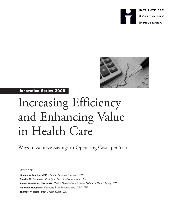



## Innovation Series 2009

# Increasing Efficiency and Enhancing Value in Health Care

Ways to Achieve Savings in Operating Costs per Year

Authors:

Lindsay A. Martin, MSPH: *Senior Research Associate, IHI* Charles W. Neumann: *Principal, The Cambridge Group, Inc.* James Mountford, MD, MPH: *Health Foundation Harkness Fellow in Health Policy, IHI* Maureen Bisognano: *Executive Vice President and COO, IHI* Thomas W. Nolan, PhD: *Senior Fellow, IHI*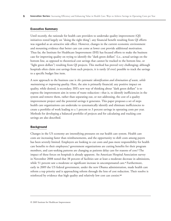## Executive Summary

Until recently, the rationale for health care providers to undertake quality improvement (QI) initiatives rested largely on "doing the right thing"; any financial benefit resulting from QI efforts was regarded as an attractive side effect. However, changes in the current economic environment and mounting evidence that better care can come at lower cost provide additional motivation. Thus far, the Institute for Healthcare Improvement (IHI) has focused efforts to make the business case for improving quality on trying to identify the "dark green dollars" (i.e., actual savings on the bottom line, as opposed to theoretical cost savings that cannot be tracked to the bottom line, or "light green dollars") resulting from QI projects. This method has proved very challenging; although hospitals often claim cost savings from such projects, it is rarely (if ever) possible to track the savings to a specific budget line item.

A new approach to the business case is *the systematic identification and elimination of waste, while maintaining or improving quality*. Here, the aim is primarily financial; any positive impact on quality, while desired, is secondary. IHI's new way of thinking about "dark green dollars" is to express the improvement aim in terms of waste reduction—that is, to identify inefficiencies in the system and remove them, rather than separating out, or not addressing, the cost of a quality improvement project and the potential savings it generates. This paper proposes a set of steps health care organizations can undertake to systematically identify and eliminate inefficiencies to create a portfolio of work leading to a 1 percent to 3 percent savings in operating costs per year. Methods for developing a balanced portfolio of projects and for calculating and tracking cost savings are also described.

#### **Background**

Changes in the US economy are intensifying pressures on our health care system. Health care costs are increasing faster than reimbursements, and the opportunity to shift costs among payers has been severely limited. Employers are looking to cut costs and pass more responsibility for health care benefits to their employees,<sup>4</sup> government organizations are cutting benefits for their program members, and care-seeking patterns are changing as patients delay care for reasons of cost.<sup>2</sup> The impact of these forces on hospitals is already apparent. An American Hospital Association survey in November 2008 noted that 38 percent of facilities saw at least a moderate decrease in admissions, while 51 percent saw a moderate or significant increase in uncompensated care.<sup>3</sup> Furthermore, early in 2009 the US federal government, under the new Obama administration, made health care reform a top priority and is approaching reform through the lens of cost reduction. Their resolve is reinforced by evidence that high quality and relatively low cost can coexist.<sup>4,5</sup>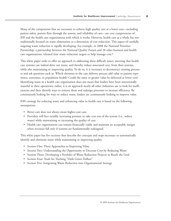Many of the components that are necessary to achieve high quality care at a lower cost—including patient safety, patient flow through the system, and reliability of care—are core competencies of IHI and the health care organizations with which it works. However, health care as a whole has not traditionally focused on waste elimination as a dimension of cost reduction. This aspect of carefully targeting waste reduction is rapidly developing. For example, in 2008 the National Priorities Partnership, a partnership between the National Quality Forum and 28 other business and health care organizations, released nine waste reduction targets to help manage cost.<sup>6</sup>

This white paper seeks to offer an approach to addressing these difficult issues, asserting that health care systems can indeed drive out waste, and thereby reduce associated cost, from their systems, while also maintaining or improving quality. To do so, it is necessary to deconstruct existing processes and ask questions such as: Which elements in the care delivery process add value to patient experience, outcomes, or population health? Could the same or greater value be delivered at lower cost? Identifying waste in a health care organization does not mean that leaders have been intentionally wasteful in their operations; rather, it is an approach nearly all other industries use to look for inefficiencies and then identify ways to remove them and redesign processes to increase efficiency. By continuously looking for ways to reduce waste, leaders are continuously looking to improve value.

IHI's strategy for reducing waste and enhancing value in health care is based on the following assumptions:

- Better care does not always mean higher-cost care.
- Providers will face steadily increasing pressure to take cost out of the system (i.e., reduce waste) while maintaining or increasing the quality of care.
- Health care organizations can remain financially viable and maintain an acceptable margin when revenues fall only if systems are fundamentally redesigned.

This white paper has five sections that describe the concepts and steps necessary to systematically identify and eliminate waste while maintaining or improving quality.

- Section One: Three Approaches to Improving Value
- Section Two: Understanding the Opportunity to Decrease Cost by Reducing Waste
- Section Three: Developing a Portfolio of Waste Reduction Projects to Reach the Goal
- Section Four: Tools for Tracking "Dark Green Dollars"
- Section Five: Integrating Waste Reduction into Organizational Strategy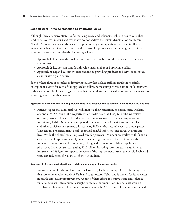## Section One: Three Approaches to Improving Value

Although there are many strategies for reducing waste and enhancing value in health care, they tend to be isolated in focus and frequently do not address the system dynamics of health care. Noriaki Kano, a visionary in the science of process design and quality improvement, offers a more comprehensive view. Kano outlines three possible approaches to improving the quality of a product or service—and thereby increasing value:<sup>7,8</sup>

- Approach 1: Eliminate the quality problems that arise because the customers' expectations are not met.
- Approach 2: Reduce cost significantly while maintaining or improving quality.
- Approach 3: Expand customers' expectations by providing products and services perceived as unusually high in value.

Each of these three approaches to improving quality has yielded striking results in hospitals. Examples of success for each of the approaches follow. Some examples result from IHI's interviews with leaders from health care organizations that had undertaken cost reduction initiatives focused on removing waste from their systems.

#### Approach 1: Eliminate the quality problems that arise because the customers' expectations are not met.

• Patients expect that a hospital visit will improve their condition, not harm them. Richard Shannon, MD, Chair of the Department of Medicine at the Hospital of the University of Pennsylvania in Philadelphia, demonstrated cost savings by reducing hospital-acquired infections (HAIs). Dr. Shannon supported front-line teams of physicians, nurses, pharmacists, and other clinicians in systematically reducing HAIs at the hospital over a two-year period. This activity prevented many debilitating and painful infections, and saved an estimated 57 lives. While the clinical team improved care for patients, Dr. Shannon worked with financial experts at the hospital to quantify reductions in length of stay in the ICU (which also improved patient flow and throughput), along with reductions in labor, supply, and pharmaceutical expenses, calculating \$1.2 million in savings over the two years. After an investment of \$85,607 to support the work of the improvement teams, the hospital achieved total cost reductions for all HAIs of over \$5 million.

#### Approach 2: Reduce cost significantly while maintaining or improving quality.

• Intermountain Healthcare, based in Salt Lake City, Utah, is a nonprofit health care system that serves the medical needs of Utah and southeastern Idaho, and is known for its advances in health care quality improvement. As part of their efforts to remove waste and enhance value to patients, Intermountain sought to reduce the amount of time patients were on ventilators. They were able to reduce ventilator time by 60 percent. This reduction resulted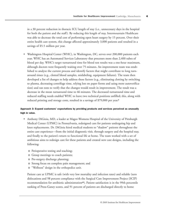in a 30 percent reduction in thoracic ICU length of stay (i.e., unnecessary days in the hospital for both the patient and the staff). By reducing this length of stay, Intermountain Healthcare was able to decrease the total cost of performing open heart surgery by 15 percent. Over their entire health care system, this change affected approximately 3,000 patients and resulted in a savings of \$5.5 million per year.

• Washington Hospital Center (WHC), in Washington, DC, serves over 200,000 patients each year. WHC has an Automated Services Laboratory that processes more than 2,400 tubes of blood per day. WHC's target turnaround time for blood test results was a one-hour maximum, although doctors were frequently waiting over 75 minutes. An improvement team was established to analyze the current process and identify factors that might contribute to long turnaround times (e.g., clotted blood samples, mislabeling, equipment failures). The team then developed a list of changes to help address these factors (e.g., eliminating clotting by switching to plasma, decreasing centrifuge time, relying less on paper forms and using more autoverification) and ran tests to verify that the changes would result in improvement. The result was a decrease in the mean turnaround time to 46 minutes. The decreased turnaround time and reduced staffing needs enabled WHC to leave two technical positions unfilled; this, along with reduced printing and storage costs, resulted in a savings of \$79,000 per year.<sup>9</sup>

## Approach 3: Expand customers' expectations by providing products and services perceived as unusually high in value.

- Anthony DiGioia, MD, a leader at Magee-Womens Hospital of the University of Pittsburgh Medical Center (UPMC) in Pennsylvania, redesigned care for patients undergoing hip and knee replacements. Dr. DiGioia hired medical students to "shadow" patients throughout the entire care experience—from the initial diagnostic visit, through surgery and the hospital stay, and finally to the patient's return to functional life at home. The team worked with a set of ambitious aims to redesign care for these patients and created new care designs, including the following:
	- o Perioperative testing and teaching;
	- o Group meetings to coach patients;
	- o Pre-surgery discharge planning;
	- o Strong focus on complete pain management; and
	- o "Wellness" design in the orthopedics unit.

Patient care at UPMC is safe (with very low mortality and infection rates) and reliable (zero dislocations and 98 percent compliance with the Surgical Care Improvement Project (SCIP) recommendation for antibiotic administration<sup>10</sup>). Patient satisfaction is in the 99th percentile ranking of Press-Ganey scores, and 91 percent of patients are discharged directly to home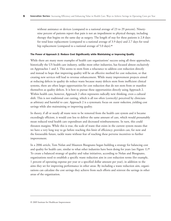without assistance or devices (compared to a national average of 23 to 29 percent). Ninetynine percent of patients report that pain is not an impediment to physical therapy, including therapy that begins on the same day as surgery. The length of stay for these patients is 2.8 days for total knee replacement (compared to a national average of 3.9 days) and 2.7 days for total hip replacement (compared to a national average of 5.0 days).<sup>11</sup>

#### The Power of Approach 2: Reduce Cost Significantly while Maintaining or Improving Quality

While there are many more examples of health care organizations' success using all three approaches, historically the US health care industry, unlike most other industries, has focused almost exclusively on Approaches 1 and 3. This seems to stem from a reluctance to address cost reduction directly and instead to hope that improving quality will be an effective method for cost reduction, or that creating new services will lead to revenue enhancement. While many improvement projects aimed at reducing defects in quality do reduce waste because many defects stem from inefficient clinical systems, there are often larger opportunities for cost reduction that do not stem from or manifest themselves as quality defects. It is best to pursue these opportunities directly using Approach 2. Within health care, however, Approach 2 often represents radically new thinking, even a cultural shift. This is not traditional cost cutting, which is all too often (correctly) perceived by clinicians as arbitrary and harmful to care. Approach 2 is a systematic focus on *waste reduction*, yielding cost savings while also maintaining or improving quality.

In theory, if all or nearly all waste were to be removed from the health care system and it became exceedingly efficient, it would cost less to deliver the same amount of care, which would presumably mean reduced total health care expenditure and decreased reimbursements. In turn, this could threaten margins. While this is true, the scale of waste that exists in the current system means that we have a very long way to go before reaching this limit of efficiency; providers can, for now and the foreseeable future, tackle waste without fear of reaching these perverse incentives to further improvement.

In a 2006 article, Tom Nolan and Maureen Bisognano began building a strategy for balancing cost and quality for health care, similar to what other industries have been doing for years (see Figure 1).<sup>12</sup> To create a balanced strategy of quality and value initiatives, according to Nolan and Bisognano, organizations need to establish a specific waste reduction aim in cost reduction terms (for example, 1 percent of operating expense per year or a specified dollar amount per year), in addition to the aims they set for improving performance in other areas. By including a waste reduction aim, organizations can calculate the cost savings they achieve from such efforts and reinvest the savings in other areas of the organization.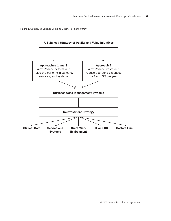Figure 1. Strategy to Balance Cost and Quality in Health Care<sup>12</sup>

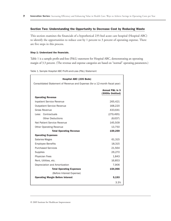## Section Two: Understanding the Opportunity to Decrease Cost by Reducing Waste

This section examines the financials of a hypothetical 235-bed acute care hospital (Hospital ABC) to identify the opportunities to reduce cost by 1 percent to 3 percent of operating expense. There are five steps in this process.

#### Step 1: Understand the financials.

Table 1 is a sample profit-and-loss (P&L) statement for Hospital ABC, demonstrating an operating margin of 3.3 percent. (The revenue and expense categories are based on "normal" operating parameters.)

| Hospital ABC (235 Beds)                                                    |                                                |  |  |  |  |  |  |  |
|----------------------------------------------------------------------------|------------------------------------------------|--|--|--|--|--|--|--|
| Consolidated Statement of Revenue and Expense (for a 12-month fiscal year) |                                                |  |  |  |  |  |  |  |
|                                                                            | <b>Annual P&amp;L in S</b><br>(\$000s Omitted) |  |  |  |  |  |  |  |
| <b>Operating Revenue</b>                                                   |                                                |  |  |  |  |  |  |  |
| <b>Inpatient Service Revenue</b>                                           | 265,421                                        |  |  |  |  |  |  |  |
| <b>Outpatient Service Revenue</b>                                          | 168,220                                        |  |  |  |  |  |  |  |
| Gross Revenue                                                              | 433,641                                        |  |  |  |  |  |  |  |
| Less: Contractuals                                                         | (279, 495)                                     |  |  |  |  |  |  |  |
| <b>Other Deductions</b>                                                    | (8,637)                                        |  |  |  |  |  |  |  |
| Net Patient Service Revenue                                                | 145,509                                        |  |  |  |  |  |  |  |
| Other Operating Revenue                                                    | 13,750                                         |  |  |  |  |  |  |  |
| <b>Total Operating Revenue</b>                                             | 159,259                                        |  |  |  |  |  |  |  |
| <b>Operating Expenses</b>                                                  |                                                |  |  |  |  |  |  |  |
| Salaries-Wages                                                             | 61,315                                         |  |  |  |  |  |  |  |
| <b>Employee Benefits</b>                                                   | 18,315                                         |  |  |  |  |  |  |  |
| <b>Purchased Services</b>                                                  | 21,564                                         |  |  |  |  |  |  |  |
| Supplies                                                                   | 26,270                                         |  |  |  |  |  |  |  |
| <b>Physician Fees</b>                                                      | 1,843                                          |  |  |  |  |  |  |  |
| Rent, Utilities, etc.                                                      | 16,853                                         |  |  |  |  |  |  |  |
| Depreciation and Amortization                                              | 7,906                                          |  |  |  |  |  |  |  |
| <b>Total Operating Expenses</b>                                            | 154,066                                        |  |  |  |  |  |  |  |
| (Before Interest Expense)                                                  |                                                |  |  |  |  |  |  |  |
| <b>Operating Margin Before Interest</b>                                    | 5,193                                          |  |  |  |  |  |  |  |
|                                                                            | 3.3%                                           |  |  |  |  |  |  |  |

Table 1. Sample Hospital ABC Profit-and-Loss (P&L) Statement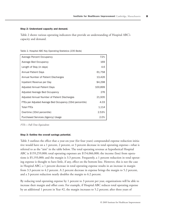#### Step 2: Understand capacity and demand.

Table 2 shows various operating indicators that provide an understanding of Hospital ABC's capacity and demand.

Table 2. Hospital ABC Key Operating Statistics (235 Beds)

| Average Percent Occupancy                                 | 72%     |
|-----------------------------------------------------------|---------|
| Average Bed Occupancy                                     | 169     |
| Length of Stay (in days)                                  | 4.6     |
| <b>Annual Patient Days</b>                                | 61,758  |
| Annual Number of Patient Discharges                       | 13,426  |
| Inpatient Revenue per Day                                 | \$4,298 |
| Adjusted Annual Patient Days                              | 100,899 |
| Adjusted Average Bed Occupancy                            | 276     |
| Adjusted Annual Number of Patient Discharges              | 21,935  |
| FTEs per Adjusted Average Bed Occupancy (33rd percentile) | 4.03    |
| <b>Total FTEs</b>                                         | 1,114   |
| Overtime (33rd percentile)                                | 2.53%   |
| Purchased Services (Agency) Usage                         | 2.0%    |

*FTEs = Full-Time Equivalents*

#### Step 3: Outline the overall savings potential.

Table 3 outlines the effect that a year-on-year (for four years) compounded expense reduction initiative would have on a 1 percent, 2 percent, or 3 percent decrease in total operating expense—what is referred to as the "aim" in the table below. The total operating revenue at hypothetical Hospital ABC is \$159,259,000; total operating expenses are \$154,066,000; the income (loss) from operations is \$5,193,000; and the margin is 3.3 percent. Frequently, a 1 percent reduction in total operating expense is thought to have little, if any, effect on the bottom line. However, this is not the case in Hospital ABC; a 1 percent decrease in total operating expense results in an increase in margin from 3.3 percent to 4.2 percent. A 2 percent decrease in expense brings the margin to 5.2 percent, and a 3 percent reduction nearly doubles the margin to 6.2 percent.

By reducing total operating expense by 1 percent to 3 percent per year, organizations will be able to increase their margin and offset costs. For example, if Hospital ABC reduces total operating expense by an additional 1 percent in Year #2, the margin increases to 5.2 percent; after three years of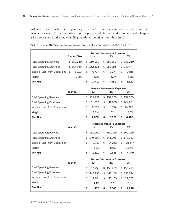making a 1 percent reduction per year, they achieve a 6.1 percent margin; and after four years, the margin increases to 7.1 percent. (Note: For the purposes of illustration, the revenue for this hospital is held constant with the understanding that this assumption is not the norm.)

|                                 | <b>Current Year</b> |    | 1%      |    | <b>Percent Decrease in Expenses</b><br>2% | 3%            |
|---------------------------------|---------------------|----|---------|----|-------------------------------------------|---------------|
| <b>Total Operating Revenue</b>  | \$<br>159,259       | \$ | 159,259 | \$ | 159,259                                   | \$<br>159,259 |
| <b>Total Operating Expenses</b> | \$<br>154,066       | \$ | 152,525 | \$ | 150,985                                   | \$<br>149,444 |
| Income (Loss) from Operations   | \$<br>5,193         | \$ | 6,734   | \$ | 8,274                                     | \$<br>9,815   |
| Margin                          | 3.3%                |    | 4.2%    |    | 5.2%                                      | 6.2%          |
| <b>The Aim</b>                  |                     | \$ | 1,541   | \$ | 3,081                                     | \$<br>4,622   |
|                                 | Year #2             |    | 1%      |    | <b>Percent Decrease in Expenses</b><br>2% | 3%            |
| <b>Total Operating Revenue</b>  |                     | \$ | 159,259 | \$ | 159,259                                   | \$<br>159,259 |
| <b>Total Operating Expenses</b> |                     | \$ | 151,000 | \$ | 147,965                                   | \$<br>144,961 |
| Income (Loss) from Operations   |                     | \$ | 8,259   | \$ | 11,294                                    | \$<br>14,298  |
| Margin                          |                     |    | 5.2%    |    | 7.1%                                      | 9.0%          |
| <b>The Aim</b>                  |                     | \$ | 1,525   | \$ | 3,020                                     | \$<br>4,483   |
|                                 | Year #3             |    | 1%      |    | <b>Percent Decrease in Expenses</b><br>2% | 3%            |
| <b>Total Operating Revenue</b>  |                     | \$ | 159,259 | \$ | 159,259                                   | \$<br>159,259 |
| <b>Total Operating Expenses</b> |                     | \$ | 149,490 | \$ | 145,006                                   | \$<br>140,612 |
| Income (Loss) from Operations   |                     | \$ | 9,769   | \$ | 14,253                                    | \$<br>18,647  |
| Margin                          |                     |    | 6.1%    |    | 8.9%                                      | 11.7%         |
| <b>The Aim</b>                  |                     | Ś. | 1,510   | \$ | 2,959                                     | \$<br>4,349   |
|                                 | Year #4             |    | 1%      |    | <b>Percent Decrease in Expenses</b><br>2% | 3%            |
| <b>Total Operating Revenue</b>  |                     | \$ | 159,259 | \$ | 159,259                                   | \$<br>159,259 |
| <b>Total Operating Expenses</b> |                     | \$ | 147,995 | \$ | 142,106                                   | \$<br>136,394 |
| Income (Loss) from Operations   |                     | \$ | 11,264  | \$ | 17,153                                    | \$<br>22,865  |
| Margin                          |                     |    | 7.1%    |    | 10.8%                                     | 14.4%         |
| <b>The Aim</b>                  |                     | \$ | 1,495   | S  | 2,900                                     | \$<br>4,218   |

Table 3. Hospital ABC Potential Savings from an Expense Reduction Initiative (\$000s Omitted)

© 2009 Institute for Healthcare Improvement

Г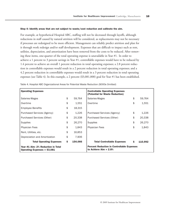#### Step 4: Identify areas that are not subject to waste/cost reduction and calibrate the aim.

For example, at hypothetical Hospital ABC, staffing will not be decreased through layoffs, although reductions in staff caused by natural attrition will be considered, as replacements may not be necessary if processes are redesigned to be more efficient. Management can reliably predict attrition and plan for it through work redesign and/or staff development. Expenses that are difficult to impact such as rent, utilities, depreciation, and amortization have been removed from the costs to be reduced. After removing these items, one-quarter of the total operating expense is unavailable in Year #1. In order to achieve a 1 percent to 3 percent savings in Year #1, controllable expenses would have to be reduced by 1.4 percent to achieve an overall 1 percent reduction in total operating expenses; a 2.8 percent reduction in controllable expenses would result in a 2 percent reduction in total operating expenses; and a 4.2 percent reduction in controllable expenses would result in a 3 percent reduction in total operating expenses (see Table 4). In this example, a 2 percent (\$3,081,000) goal for Year #1 has been established.

| <b>Operating Expenses</b>                                           |               | <b>Controllable Operating Expenses</b><br>(Potential for Waste Reduction)     |    |         |  |  |
|---------------------------------------------------------------------|---------------|-------------------------------------------------------------------------------|----|---------|--|--|
| Salaries-Wages                                                      | \$<br>59,764  | Salaries-Wages                                                                | \$ | 59,764  |  |  |
| Overtime                                                            | \$<br>1,551   | Overtime                                                                      | \$ | 1,551   |  |  |
| <b>Employee Benefits</b>                                            | \$<br>18,315  |                                                                               |    |         |  |  |
| Purchased Services (Agency)                                         | \$<br>1,226   | Purchased Services (Agency)                                                   | \$ | 1,226   |  |  |
| Purchased Services (Other)                                          | \$<br>20,338  | Purchased Services (Other)                                                    | \$ | 20,338  |  |  |
| Supplies                                                            | \$<br>26,270  | Supplies                                                                      | \$ | 26,270  |  |  |
| <b>Physician Fees</b>                                               | \$<br>1,843   | <b>Physician Fees</b>                                                         | \$ | 1,843   |  |  |
| Rent, Utilities, etc.                                               | \$<br>16,853  |                                                                               |    |         |  |  |
| Depreciation and Amortization                                       | \$<br>7,906   |                                                                               |    |         |  |  |
| <b>Total Operating Expenses</b>                                     | \$<br>154,066 | <b>Total Controllable Expenses</b>                                            | Ŝ. | 110,992 |  |  |
| Year #1 Aim: 2% Reduction in Total<br>Operating Expenses = $$3,081$ |               | <b>Percent Reduction in Controllable Expenses</b><br>to Achieve Aim $= 2.8\%$ |    |         |  |  |

Table 4. Hospital ABC Organizational Areas for Potential Waste Reduction (\$000s Omitted)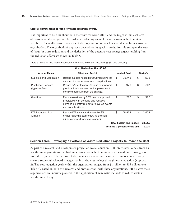#### Step 5: Identify areas of focus for waste reduction efforts.

It is important to be clear about both the waste reduction effort and the target within each area of focus. Several strategies can be used when selecting areas of focus for waste reduction; it is possible to focus all efforts in one area of the organization or to select several areas from across the organization. The organization's approach depends on its specific needs. For this example, the areas of focus for waste reduction and the derivation of the potential cost savings targets resulting from the reduction efforts are shown in Table 5.

| Cost Reduction Aim: \$3,081                |                                                                                                                                                   |    |                     |    |                |  |  |  |
|--------------------------------------------|---------------------------------------------------------------------------------------------------------------------------------------------------|----|---------------------|----|----------------|--|--|--|
| <b>Area of Focus</b>                       | <b>Effort and Target</b>                                                                                                                          |    | <b>Implied Cost</b> |    | <b>Savings</b> |  |  |  |
| Supplies and Medication                    | Reduce supplies needed by 2% by reducing the<br>number of adverse events and complications.                                                       | \$ | 25,745              | \$ | 525            |  |  |  |
| <b>Purchased Services</b><br>(Agency) Fees | Reduce agency fees by 25% due to improved<br>predictability in demand and improved staff<br>morale that results from the change.                  | \$ | 920                 | \$ | 307            |  |  |  |
| Overtime                                   | Reduce overtime by 20% due to improved<br>predictability in demand and reduced<br>demand on staff from fewer adverse events<br>and complications. | \$ | 1,226               | \$ | 325            |  |  |  |
| FTE Reduction from<br>Attrition            | Reduce FTE salary and wages by 4%<br>by not replacing staff following attrition.<br>if improved work processes permit.                            | \$ | 58.862              | \$ | 2,453          |  |  |  |
| <b>Total bottom line impact</b><br>\$3,610 |                                                                                                                                                   |    |                     |    |                |  |  |  |
|                                            | 117%<br>Total as a percent of the aim                                                                                                             |    |                     |    |                |  |  |  |

Table 5. Hospital ABC Waste Reduction Efforts and Potential Cost Savings (\$000s Omitted)

## Section Three: Developing a Portfolio of Waste Reduction Projects to Reach the Goal

As part of a research-and-development project on waste reduction, IHI interviewed leaders from six health care organizations that had undertaken cost reduction initiatives focused on removing waste from their systems. The purpose of the interviews was to understand the components necessary to create a successful balanced strategy that included cost savings through waste reduction (Approach 2). The cost reduction goals within the organizations ranged from \$1 million to \$15 million (see Table 6). Based on both this research and previous work with these organizations, IHI believes these organizations are industry pioneers in the application of systematic methods to reduce waste in health care delivery.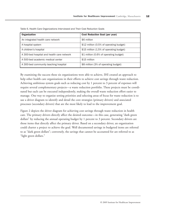| <b>Organization</b>                        | <b>Cost Reduction Goal (per year)</b>   |
|--------------------------------------------|-----------------------------------------|
| An integrated health care network          | \$6 million                             |
| A hospital system                          | \$12 million (0.5% of operating budget) |
| A children's hospital                      | \$15 million (1.5% of operating budget) |
| A 300-bed hospital and health care network | \$1 million (0.6% of operating budget)  |
| A 500-bed academic medical center          | \$15 million                            |
| A 300-bed community teaching hospital      | \$8 million (3% of operating budget)    |

Table 6. Health Care Organizations Interviewed and Their Cost Reduction Goals

By examining the success these six organizations were able to achieve, IHI created an approach to help other health care organizations in their efforts to achieve cost savings through waste reduction. Achieving ambitious system goals such as reducing cost by 1 percent to 3 percent of expenses will require several complementary projects—a waste reduction portfolio. These projects must be coordinated but each can be executed independently, making the overall waste reduction effort easier to manage. One way to organize setting priorities and selecting areas of focus for waste reduction is to use a driver diagram to identify and detail the core strategies (primary drivers) and associated processes (secondary drivers) that are the most likely to lead to the improvement goal.

Figure 2 depicts the driver diagram for achieving cost savings through waste reduction in health care. The primary drivers directly affect the desired outcome—in this case, generating "dark green dollars" by reducing the annual operating budget by 1 percent to 3 percent. Secondary drivers are those items that directly affect the primary driver. Based on a secondary driver, an organization could charter a project to achieve the goal. Well documented savings in budgeted items are referred to as "dark green dollars"; conversely, the savings that cannot be accounted for are referred to as "light green dollars."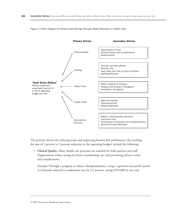

Figure 2. Driver Diagram to Achieve Cost Savings Through Waste Reduction in Health Care

The primary drivers for reducing waste and improving bottom-line performance (by reaching the aim of 1 percent to 3 percent reduction in the operating budget) include the following:

• **Clinical Quality**: Many health care processes are wasteful for both patients and staff. Organizations realize savings by better coordinating care and preventing adverse events and complications.

*Example:* Through a program to reduce rehospitalizations, a large, capitated, non-profit system in Colorado reduced its readmission rate by 3.5 percent, saving \$295,000 in one year.

© 2009 Institute for Healthcare Improvement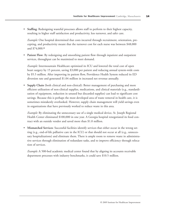• **Staffing**: Redesigning wasteful processes allows staff to perform to their highest capacity, resulting in higher staff satisfaction and productivity, less turnover, and safer care.

*Example:* One hospital determined that costs incurred through recruitment, orientation, precepting, and productivity meant that the turnover cost for each nurse was between \$48,000 and \$74,000.<sup>13</sup>

• **Patient Flow**: By redesigning and smoothing patient flow through inpatient and outpatient services, throughput can be maximized to meet demand.

*Example:* Intermountain Healthcare optimized its ICU and lowered the total cost of open heart surgery by 15 percent, saving \$3,000 per patient and reducing annual system-wide costs by \$5.5 million. After improving its patient flow, Providence Health System reduced its ED diversion rate and generated \$1.04 million in increased net revenue annually.

• **Supply Chain** (both clinical and non-clinical): Better management of purchasing and more efficient utilization of non-clinical supplies, medications, and clinical materials (e.g., standardization of equipment, reduction in unused but discarded supplies) can lead to significant cost savings. Because this is perhaps the most developed area of waste removal in health care, it is sometimes mistakenly overlooked. However, supply chain management will yield savings even in organizations that have previously worked to reduce waste in this area.

*Example:* By eliminating the unnecessary use of a single medical device, St. Joseph Regional Health Center eliminated \$100,000 in one year. A Georgia hospital renegotiated its food contract with an outside vendor and saved more than \$1.0 million.

• **Mismatched Services**: Successful facilities identify services that either occur in the wrong setting (e.g., end-of-life palliative care in the ICU) or that should not occur at all (e.g., unnecessary hospitalizations) and eliminate them. There is ample room to remove waste in administrative services through elimination of redundant tasks, and to improve efficiency through relocation of services.

*Example:* A 500-bed academic medical center found that by aligning its accounts receivable department processes with industry benchmarks, it could save \$10.5 million.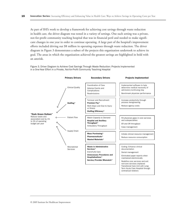As part of IHI's work to develop a framework for achieving cost savings through waste reduction in health care, the driver diagram was tested in a variety of settings. One such setting was a private, not-for-profit community teaching hospital that was in financial peril and needed to make significant changes in one year in order to continue operating. A large part of the hospital's improvement efforts included driving out \$8 million in operating expenses through waste reduction. The driver diagram in Figure 3 demonstrates a subset of the projects this organization undertook to achieve its goal. The areas in which the organization achieved the greatest savings are highlighted in bold with an asterisk.

Figure 3. Driver Diagram to Achieve Cost Savings Through Waste Reduction: Projects Implemented in a One-Year Effort in a Private, Not-for-Profit Community Teaching Hospital



© 2009 Institute for Healthcare Improvement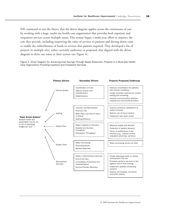IHI continued to test the theory that the driver diagram applies across the continuum of care by working with a large, multi-site health care organization that provides both inpatient and outpatient services across multiple states. This system began a multi-year effort to improve the care they provide, including improving the value of services to patients and driving down costs to enable the redistribution of funds to services that patients required. They developed a list of projects in multiple sites, either currently underway or proposed, that aligned with the driver diagram to drive out waste in their system (see Figure 4).

Figure 4. Driver Diagram for Achieving Cost Savings Through Waste Reduction: Projects in a Multi-Site Health Care Organization Providing Inpatient and Outpatient Services

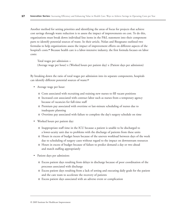Another method for setting priorities and identifying the areas of focus for projects that achieve cost savings through waste reduction is to assess the impact of improvements on cost. To do this, organizations must break down individual line items in the P&L statement into their component parts to identify potential sources of waste. In their article, Nolan and Bisognano outlined two formulas to help organizations assess the impact of improvement efforts on different aspects of the hospital's costs.<sup>12</sup> Because health care is a labor-intensive industry, the first formula focuses on labor costs:

Total wages per admission = (Average wage per hour) x (Worked hours per patient day) x (Patient days per admission)

By breaking down the ratio of total wages per admission into its separate components, hospitals can identify different potential sources of waste:<sup>12</sup>

- Average wage per hour:
	- o Costs associated with recruiting and training new nurses to fill vacant positions
	- o Increased cost associated with contract labor such as nurses from a temporary agency because of vacancies for full-time staff
	- o Premium pay associated with overtime or last-minute scheduling of nurses due to inadequate planning
	- o Overtime pay associated with failure to complete the day's surgery schedule on time
- Worked hours per patient day:
	- o Inappropriate staff time in the ICU because a patient is unable to be discharged to a lower-acuity unit due to problems with the discharge of patients from these units
	- o Hours in excess of budget hours because of the uneven workload between days of the week due to scheduling of surgery cases without regard to the impact on downstream resources
	- o Hours in excess of budget because of failure to predict demand a day or two ahead and match staffing appropriately
- Patient days per admission:
	- o Excess patient days resulting from delays in discharge because of poor coordination of the processes associated with discharge
	- o Excess patient days resulting from a lack of setting and executing daily goals for the patient and the care team to accelerate the recovery of patients
	- o Excess patient days associated with an adverse event or complication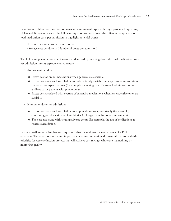In addition to labor costs, medication costs are a substantial expense during a patient's hospital stay. Nolan and Bisognano created the following equation to break down the different components of total medication costs per admission to highlight potential waste:

Total medication costs per admission = (Average cost per dose) x (Number of doses per admission)

The following potential sources of waste are identified by breaking down the total medication costs per admission into its separate components:<sup>12</sup>

- Average cost per dose:
	- o Excess cost of brand medications when generics are available
	- o Excess cost associated with failure to make a timely switch from expensive administration routes to less expensive ones (for example, switching from IV to oral administration of antibiotics for patients with pneumonia)
	- o Excess cost associated with overuse of expensive medications when less expensive ones are available
- Number of doses per admission:
	- o Excess cost associated with failure to stop medications appropriately (for example, continuing prophylactic use of antibiotics for longer than 24 hours after surgery)
	- o The cost associated with treating adverse events (for example, the use of medications to reverse oversedation)

Financial staff are very familiar with equations that break down the components of a P&L statement. The operations team and improvement teams can work with financial staff to establish priorities for waste reduction projects that will achieve cost savings, while also maintaining or improving quality.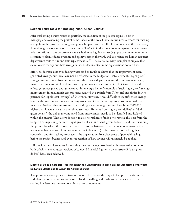#### Section Four: Tools for Tracking "Dark Green Dollars"

After establishing a waste reduction portfolio, the execution of the projects begins. To aid in managing and overseeing the portfolio, the leaders of the overall initiative will need methods for tracking savings from the projects. Tracking savings in a hospital can be a difficult task because of the way money flows through the organization. Savings can be "lost" within the cost accounting system, as when waste reduction efforts in one department actually lead to savings in another (e.g., practices to improve nurse retention result in reduced overtime and agency costs on the ward, and also reduce the human resources department's costs to hire and train replacement staff). There are also many examples of projects that claim to save money, but these savings cannot be documented in the organization's bottom line.

Efforts to decrease cost by reducing waste tend to result in claims that the improvement team generated savings, but these may not be reflected in the budget or P&L statement. "Light green" savings can cause great frustration for both the finance department and the improvement team; finance becomes skeptical of claims made by improvement teams, while clinicians feel that their efforts go unrecognized and unrewarded. In one organization's example of such "light green" savings, improvement in pneumonia care processes resulted in a switch from IV to oral antibiotics in 370 patients, for supply-cost "savings" of \$319,000. However, it was difficult to identify these savings because the year-on-year increase in drug costs meant that the savings were lost in annual cost increases. Without this improvement, total drug spending might indeed have been \$319,000 higher than it actually was in the subsequent year. To move from "light green dollars" to "dark green dollars," the dollar amount saved from improvement needs to be identified and isolated within the budget. This allows decision makers to reallocate funds or to remove this cost from the budget. Distinguishing between "light green dollars" and "dark green dollars"—and understanding the process by which the former are converted to the latter—are crucial in an organization that wants to enhance value. Doing so requires the following: a) a clear method for making that conversion and for tracking costs across the organization; b) a clear sense of potential savings before the project begins; and c) an expectation of how savings will ultimately be applied.

IHI provides two alternatives for tracking the cost savings associated with waste reduction efforts, both of which use adjusted versions of standard financial figures to demonstrate if "dark green dollars" have been achieved.

## Method 1: Using a Standard Tool Throughout the Organization to Track Savings Associated with Waste Reduction Efforts and to Adjust for Annual Changes

The previous section presented two formulas to help assess the impact of improvements on cost and identify potential sources of waste related to staffing and medication budget items. The staffing line item was broken down into three components:

© 2009 Institute for Healthcare Improvement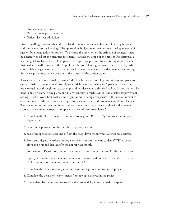- Average wage per hour
- Worked hours per patient day
- Patient days per admission

Data on staffing costs and these three related components are readily available in any hospital and can be used to track savings. The appropriate budget item then becomes the key measure of success for a waste reduction project. To increase the precision of the estimate of savings, it may be necessary to adjust the measures for changes outside the scope of the project. For example, a team might have had a favorable impact on average wage per hour by instituting improvements that enable all staff to work to the "top of their license." During the same time period, a yearly cost-of-living wage increase may have occurred. It is reasonable to track the savings by adjusting for the wage increase, which was not in the control of the project team.

This approach was formalized by Sigma Aldrich, a life science and high technology company, to support their cost-reduction efforts. Sigma Aldrich saves approximately 2 percent of operating expense each year through process redesign and has developed a simple Excel worksheet that can be used in any division, in any plant, and in any country to track savings. The Quality Improvement Savings Tracker Worksheet enables the organization to compare expenses in the area of interest to expenses incurred the year prior and adjust for wage increases and productivity/volume changes. The organization can then use the worksheet to track any investments made with the savings accrued. There are nine steps to complete in the worksheet (see Figure 5):

- 1. Complete the "Department, Location, Currency, and Prepared By" information in upper right corner.
- 2. Select the reporting month from the drop-down menu.
- 3. Select the appropriate account(s) from the drop-down menu where savings has occurred.
- 4. From your department/location expense reports, record the year-to-date (YTD) expense from this year and last year for the appropriate month.
- 5. For savings in Payroll costs, input the estimated annual wage increase for the current year.
- 6. Input your productivity measure amounts for this year and last year. Remember to use the YTD amounts for the month selected in step #2.
- 7. Complete the details of savings for each significant process improvement project.
- 8. Complete the details of reinvestments from savings achieved in the project.
- 9. Briefly describe the unit of measure for the productivity measure used in step #6.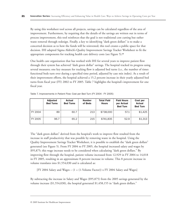By using this worksheet tool across all projects, savings can be calculated regardless of the area of improvement. Furthermore, by requiring that the details of the savings are written out in terms of process improvement, this tool reinforces that the goal is not traditional cost cutting but rather waste removal through redesign. Finally, a key to identifying "dark green dollars" is to make a concerted decision as to how the funds will be reinvested; this tool creates a public space for that decision. IHI adapted Sigma Aldrich's Quality Improvement Savings Tracker Worksheet to fit the appropriate components for tracking health care delivery costs (see Figure 5).<sup>14</sup>

One health care organization that has worked with IHI for several years to improve patient flow through their system has achieved "dark green dollar" savings. The hospital tracked its progress using several measures; one key measure for tracking flow is adjusted bed turns (i.e., the number of times functional beds turn over during a specified time period, adjusted by case mix index). As a result of their improvement efforts, the hospital achieved a 15.2 percent increase in their yearly adjusted bed turns from fiscal year (FY) 2002 to FY 2005. Table 7 highlights the hospital's improvement for one fiscal year.

|           | <b>Adjusted</b><br><b>Bed Turns</b> | <b>Actual</b><br><b>Bed Turns</b> | <b>Number</b><br>of Beds | <b>Total Paid</b><br><b>Hours</b> | <b>Paid Hours</b><br>per Actual<br><b>Bed Turn</b> | Cost per<br><b>Actual</b><br><b>Bed Turn</b> |
|-----------|-------------------------------------|-----------------------------------|--------------------------|-----------------------------------|----------------------------------------------------|----------------------------------------------|
| I FY 2004 | 89                                  | 60.7                              | 213                      | \$738,000                         | 57.1                                               | \$1,425                                      |
| l FY 2005 | 96.7                                | 65.2                              | 215                      | \$741,835                         | 52.9                                               | \$1,313                                      |

Table 7. Improvements in Patient Flow: Cost per Bed Turn (FY 2004 - FY 2005)

The "dark green dollars" derived from the hospital's work to improve flow resulted from the increase in staff productivity that was possible by removing waste in the hospital. Using the Quality Improvement Savings Tracker Worksheet, it is possible to establish the "dark green dollars" generated (see Figure 5). From FY 2004 to FY 2005, the hospital increased salary and wages by \$95,875; this wage increase needs to be considered when calculating "dark green dollars." By improving flow through the hospital, patient volume increased from 12,929 in FY 2004 to 14,018 in FY 2005, resulting in an approximate 8 percent increase in volume. This 8 percent increase in volume translates into \$1,554,030 and is calculated as:

[FY 2004 Salary and Wages – (1 + (1-Volume Factor)) x FY 2004 Salary and Wages]

By subtracting the increase in Salary and Wages (\$95,875) from the 2005 savings generated by the volume increase (\$1,554,030), the hospital generated \$1,458,155 in "dark green dollars."

<sup>© 2009</sup> Institute for Healthcare Improvement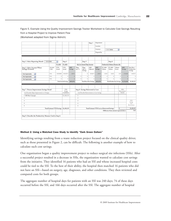Figure 5. Example Using the Quality Improvement Savings Tracker Worksheet to Calculate Cost Savings Resulting from a Hospital Project to Improve Patient Flow

(Worksheet adapted from Sigma Aldrich)

|                                                          |                                   |                      |                             |                 |                                                                                  |                               | Step 1           | Department                                           |                   |                                       |                  |                 |                                       |
|----------------------------------------------------------|-----------------------------------|----------------------|-----------------------------|-----------------|----------------------------------------------------------------------------------|-------------------------------|------------------|------------------------------------------------------|-------------------|---------------------------------------|------------------|-----------------|---------------------------------------|
|                                                          |                                   |                      |                             |                 |                                                                                  |                               |                  | Location                                             |                   |                                       |                  |                 |                                       |
|                                                          |                                   |                      |                             |                 |                                                                                  |                               |                  | Currency                                             |                   | U.S. Dollar                           | $\checkmark$     |                 |                                       |
|                                                          |                                   |                      |                             |                 |                                                                                  |                               |                  | Prepared by                                          |                   |                                       |                  |                 |                                       |
|                                                          |                                   |                      |                             |                 |                                                                                  |                               |                  |                                                      |                   |                                       |                  |                 |                                       |
|                                                          |                                   |                      |                             |                 |                                                                                  |                               |                  |                                                      |                   |                                       |                  |                 |                                       |
| Step 2. Select Reporting Month<br>1/31/2006              |                                   | $\vee$               | Step 4                      |                 |                                                                                  | Step 5                        |                  |                                                      |                   | Step 6                                |                  |                 |                                       |
|                                                          |                                   | FY 2004              | FY 2005                     |                 |                                                                                  | Adj. for Annual Wage Increase |                  |                                                      |                   | Productivity/Volume Measure Adj.      |                  |                 |                                       |
| Step 3. Select Account Where<br>Savings Occurred         | Account<br>Code                   | <b>YTD</b><br>Actual | <b>YTD</b><br>Actual        | 2005<br>Savings | Wage<br>Incr %                                                                   | Wage<br>Adj. to<br>Savings    | 2005<br>Adjusted | 2005<br>Savings                                      | FY 2004<br>Volume | FY 2005<br>Volume                     | Volume<br>Factor | 2005<br>Savings | Run Rate +<br>Productivity<br>Savings |
| Not Applicable<br>$\checkmark$                           | N/A                               | 18450000             | 18545873                    | $-95875$        |                                                                                  | $\mathbf{0}$                  | 1854875          | $-95875$                                             | 12929             | 14018                                 | 1.08             | 1554030         | 1458155                               |
| $\checkmark$<br>Not Applicable                           | N/A                               | $\mathbf{0}$         | $\mathbf{0}$                | $\mathbf{0}$    | $\mathbf{0}$                                                                     | $\mathbf{0}$                  | $\mathbf{0}$     | $\mathbf{0}$                                         | $\bf{0}$          | $\theta$                              |                  | $\theta$        | $\Omega$<br>$\theta$                  |
| $\checkmark$<br>Not Applicable                           | N/A                               | $\theta$             | $\theta$                    | $\mathbf{0}$    | $\theta$                                                                         | $\Omega$                      | $\theta$         | $\Omega$                                             | $\mathbf{0}$      | $\Omega$                              |                  | $\Omega$        | $\Omega$<br>$\theta$                  |
|                                                          |                                   |                      | <b>Total Actual Savings</b> | \$(95, 875)     | <b>Total Run-Rate Savings</b><br><b>Total Productivity Savings</b><br>S(95, 875) |                               |                  |                                                      |                   | \$1,554,030                           | \$1,458,155      |                 |                                       |
|                                                          |                                   |                      |                             |                 |                                                                                  |                               |                  |                                                      |                   |                                       |                  |                 |                                       |
|                                                          |                                   |                      |                             |                 |                                                                                  |                               |                  |                                                      |                   |                                       |                  |                 |                                       |
| Step 7. Process Improvement Savings Detail               |                                   |                      | <b>YTD</b><br>Savings       |                 | <b>YTD</b><br>Step 8. Savings Reinvested or Lost<br>Reinvestmemt                 |                               |                  |                                                      |                   |                                       |                  |                 |                                       |
| List/Describe Major Improvements or Changes              |                                   |                      | Contribution                |                 | List/Describe Reinvestments or Lost Savings<br>Amount                            |                               |                  |                                                      |                   |                                       |                  |                 |                                       |
| 1 IHI Flow Concepts                                      |                                   |                      | \$1,458,155                 |                 | $\mathbf{1}$                                                                     |                               |                  |                                                      |                   |                                       |                  |                 |                                       |
| $\overline{c}$                                           |                                   |                      |                             |                 | $\overline{2}$                                                                   |                               |                  |                                                      |                   |                                       |                  |                 |                                       |
| 3                                                        |                                   |                      |                             |                 | 3                                                                                |                               |                  |                                                      |                   |                                       |                  |                 | <b>YTD</b><br>Savings                 |
| 4                                                        |                                   |                      |                             |                 | 4                                                                                |                               |                  |                                                      |                   |                                       |                  |                 | Less<br>Reinvestment                  |
| 5                                                        |                                   |                      |                             |                 | 5                                                                                |                               |                  |                                                      |                   |                                       |                  |                 |                                       |
|                                                          | <b>Total Estimate YTD Savings</b> |                      | \$1,458,155                 |                 |                                                                                  |                               |                  | <b>Total Estimate YTD Lost or Reinvested Savings</b> |                   |                                       | $\mathbf s$      |                 | \$1,458,155                           |
|                                                          |                                   |                      |                             |                 |                                                                                  |                               |                  |                                                      |                   | Difference from amount reported above |                  |                 | S(0)                                  |
|                                                          |                                   |                      |                             |                 |                                                                                  |                               |                  |                                                      |                   |                                       |                  |                 |                                       |
| Step 9. Describe the Productivity Measure Used in Step 6 |                                   |                      |                             |                 |                                                                                  |                               |                  |                                                      |                   |                                       |                  |                 |                                       |
|                                                          |                                   |                      |                             |                 |                                                                                  |                               |                  |                                                      |                   |                                       |                  |                 |                                       |

## Method 2: Using a Matched Case Study to Identify "Dark Green Dollars"

Identifying savings resulting from a waste reduction project focused on the clinical quality driver, such as those presented in Figure 2, can be difficult. The following is another example of how to calculate such cost savings.

One organization began a quality improvement project to reduce surgical site infections (SSIs). After a successful project resulted in a decrease in SSIs, the organization wanted to calculate cost savings from the initiative. They identified 16 patients who had an SSI and whose increased hospital costs could be tied to the SSI. To the best of their ability, the hospital then matched 16 patients who did not have an SSI—based on surgery, age, diagnoses, and other conditions. They then reviewed and compared costs for both groups.

The aggregate number of hospital days for patients with an SSI was 240 days; 74 of these days occurred before the SSI, and 166 days occurred after the SSI. The aggregate number of hospital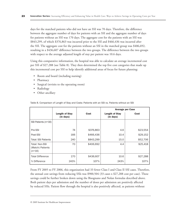days for the matched patients who did not have an SSI was 70 days. Therefore, the difference between the aggregate number of days for patients with an SSI and the aggregate number of days for patients without an SSI was 170 days. The aggregate cost for the patients with an SSI was \$843,299, of which \$376,863 was incurred prior to the SSI and \$466,436 was incurred after the SSI. The aggregate cost for the patients without an SSI in the matched group was \$406,692, resulting in a \$436,607 difference between the two groups. The difference between the two groups with respect to the average adjusted length of stay per patient was 10.6 days.

Using this comparative information, the hospital was able to calculate an average incremental cost per SSI of \$27,288 (see Table 8). They then determined the top five cost categories that made up this incremental cost per SSI to help identify additional areas of focus for future planning:

- Room and board (including nursing)
- Pharmacy
- Surgical (revisits to the operating room)
- Radiology
- Other ancillary

|                                                |                                    |           |                                    | <b>Average per Case</b> |
|------------------------------------------------|------------------------------------|-----------|------------------------------------|-------------------------|
|                                                | <b>Length of Stay</b><br>(in days) | Cost      | <b>Length of Stay</b><br>(in days) | Cost                    |
| SSI Patients (n=16)                            |                                    |           |                                    |                         |
| Pre-SSI                                        | 74                                 | \$376,863 | 4.6                                | \$23,554                |
| Post-SSI                                       | 166                                | \$466,436 | 10.4                               | \$29,152                |
| <b>Total: SSI Patients</b>                     | 240                                | \$843,299 | 15.0                               | \$52,706                |
| Total: Non-SSI<br>(Match) Patients<br>$(n=16)$ | 70                                 | \$406,692 | 4.4                                | \$25,418                |
| <b>Total Difference</b>                        | 170                                | \$436,607 | 10.6                               | \$27,288                |
| % Difference                                   | 243%                               | 107%      | 243%                               | 107%                    |

Table 8. Comparison of Length of Stay and Costs: Patients with an SSI vs. Patients without an SSI

From FY 2005 to FY 2006, this organization had 33 fewer Class I and Class II SSI cases. Therefore, the annual cost savings from reducing SSIs was \$900,504 (33 cases x \$27,288 cost per case). These savings could be further broken down using the Bisognano and Nolan formulas described above. Both patient days per admission and the number of doses per admission are positively affected by reduced SSIs. Patient flow through the hospital is also positively affected, as patients without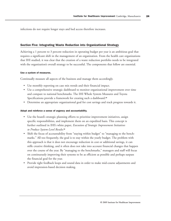infections do not require longer stays and bed access therefore increases.

## Section Five: Integrating Waste Reduction into Organizational Strategy

Achieving a 1 percent to 3 percent reduction in operating budget per year is an ambitious goal that requires a significant shift in the management of an organization. From the health care organizations that IHI studied, it was clear that the creation of a waste reduction portfolio needs to be integrated with the organization's overall strategy to be successful. The components that follow are essential.

#### Use a system of measures.

Continually measure all aspects of the business and manage them accordingly.

- Use monthly reporting on case mix trends and their financial impact.
- Use a comprehensive strategic dashboard to monitor organizational improvement over time and compare to national benchmarks. The IHI Whole System Measures and Toyota Specifications provide a framework for creating such a dashboard.<sup>15</sup>
- Determine an appropriate organizational goal for cost savings and track progress towards it.

#### Adopt and reinforce a sense of urgency and accountability.

- Use the board's strategic planning efforts to prioritize improvement initiatives, assign specific responsibilities, and implement them on an expedited basis. This concept is further outlined in IHI's white paper, *Execution of Strategic Improvement Initiatives to Produce System-Level Results.*<sup>16</sup>
- Shift the focus of accountability from "staying within budget" to "managing to the benchmarks." All too frequently, the goal is to stay within the yearly budget. The problem with this approach is that it does not encourage reduction in cost or additional savings, it can stifle creative thinking, and it often does not take into account financial changes that happen over the course of the year. By "managing to the benchmarks," managers and staff will focus on continuously improving their systems to be as efficient as possible and perhaps surpass the financial goal for the year.
- Provide tight feedback loops and sound data in order to make mid-course adjustments and avoid impression-based decision making.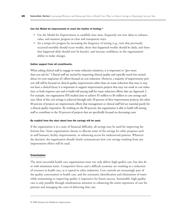#### Use the Model for Improvement to reset the rhythm of testing.<sup>17</sup>

- Use the Model for Improvement to establish clear aims, frequently test new ideas to enhance value, and measure progress in clear and transparent ways.
- Set a tempo for progress by increasing the frequency of testing (e.g., tests that previously occurred monthly should occur weekly, those that happened weekly should be daily, and those that happened daily should now be hourly), and increase confidence in the organization's ability to make changes.

#### Gather support from all constituents.

When asking clinical staff to engage in waste reduction initiatives, it is important to "give more than you ask for." Clinical staff are excited by improving clinical quality and typically much less excited about (or even suspicious of) efforts focused on cost reduction. However, a majority of improvement projects will still be focused on clinical quality improvement rather than on waste reduction that may or may not have a clinical focus; it is important to support improvement projects that may not result in cost reduction, to both improve care and to build will among staff for waste reduction efforts that use Approach 2. For example, one organization IHI studied aims to achieve \$5 million to \$6 million in cost savings each year. Most of this cost savings is achieved through only 20 percent of their improvement projects; the other 80 percent of projects are improvement efforts that management or clinical staff feel are essential purely for a clinical quality imperative. By working on the 80 percent, the organization is able to build will among staff to contribute to the 20 percent of projects that are specifically focused on decreasing costs.

#### Be explicit from the start about how the savings will be used.

If the organization is in a state of financial difficulty, all savings may be used for improving the bottom line. Some organizations choose to allocate some of the savings for other purposes such as staff bonuses, facility improvements, or enhancing access for underserved patients. Whatever the decision, the organization should clearly communicate how cost savings resulting from any improvement efforts will be used.

## Conclusion

The most successful health care organizations must not only deliver high-quality care, but also do so with minimum waste. Competitive forces and a difficult economy are resulting in a reduction of revenues in health care, as is typical in other industries. Cost controls are increasingly part of the quality conversation in health care, and the systematic identification and elimination of waste while maintaining or improving quality is imperative for future success. Sustainable, high-quality care is only possible through simultaneous attention to enhancing the entire experience of care for patients and managing the costs of delivering that care.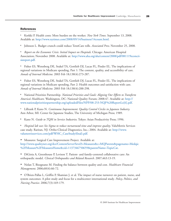## **References**

<sup>1</sup> Korkki P. Health costs: More burden on the worker. *New York Times.* September 13, 2008. Available at: http://www.nytimes.com/2008/09/14/business/14count.html.

<sup>2</sup> Johnson L. Budget crunch could reduce TennCare rolls. *Associated Press*. November 25, 2008.

<sup>3</sup> *Report on the Economic Crisis: Initial Impact on Hospitals*. Chicago: American Hospital [Association; November 2008. Available at: http://www.aha.org/aha/content/2008/pdf/081119econcri](http://www.aha.org/aha/content/2008/pdf/081119econcrisisreport.pdf)sisreport.pdf.

<sup>4</sup> Fisher ES, Wennberg DE, Stukel TA, Gottlieb DJ, Lucas FL, Pinder EL. The implications of regional variations in Medicare spending, Part 1: The content, quality, and accessibility of care. *Annals of Internal Medicine*. 2003 Feb 18;138(4):273-287.

<sup>5</sup> Fisher ES, Wennberg DE, Stukel TA, Gottlieb DJ, Lucas FL, Pinder EL. The implications of regional variations in Medicare spending, Part 2: Health outcomes and satisfaction with care. *Annals of Internal Medicine*. 2003 Feb 18;138(4):288-298.

<sup>6</sup> National Priorities Partnership. *National Priorities and Goals: Aligning Our Efforts to Transform America's Healthcare*. Washington, DC: National Quality Forum; 2008:47. Available at: http:// [www.nationalprioritiespartnership.org/uploadedFiles/NPP/08-253-NQF%20ReportLo\[6\].pdf.](http://www.nationalprioritiespartnership.org/uploadedFiles/NPP/08-253-NQF%20ReportLo[6].pdf)

<sup>7</sup> Lillrank P, Kano N. *Continuous Improvement: Quality Control Circles in Japanese Industry*. Ann Arbor, MI: Center for Japanese Studies, The University of Michigan Press; 1989.

<sup>8</sup> Kano N. *Guide to TQM in Service Industries*. Tokyo: Asian Productivity Press; 1996.

<sup>9</sup> *Hospital lab uses Six Sigma to reduce turnaround time and improve quality*. ValuMetrix Services [case study. Raritan, NJ: Ortho-Clinical Diagnostics, Inc.; 2004. Available at: http://www.](http://www.valumetrixservices.com/pdf/WHC_CaseStudy(final).pdf) valumetrixservices.com/pdf/WHC\_CaseStudy(final).pdf.

<sup>10</sup> Measures: Surgical Care Improvement Project. Available at:

[http://www.qualitynet.org/dcs/ContentServer?level3=Measures&c=MQParents&pagename=Medqic](http://www.qualitynet.org/dcs/ContentServer?level3=Measures&c=MQParents&pagename=Medqic%2FMeasure%2FMeasuresHome&cid=1137346750659&parentName=TopicCat) %2FMeasure%2FMeasuresHome&cid=1137346750659&parentName=TopicCat.

<sup>11</sup> DiGioia A, Greenhouse P, Levison T. Patient- and family-centered collaborative care: An orthopaedic model. *Clinical Orthopaedics and Related Research*. 2007;463:13-19.

<sup>12</sup> Nolan T, Bisognano M. Finding the balance between quality and cost. *Healthcare Financial Management*. 2006;60(4):66-72.

<sup>13</sup> O'Brien-Pallas L, Griffin P, Shamian J, et al. The impact of nurse turnover on patient, nurse, and system outcomes: A pilot study and focus for a multicenter international study. *Policy, Politics, and Nursing Practice*. 2006;7(3):169-179.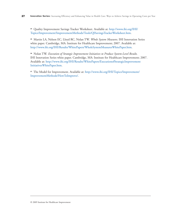<sup>14</sup> Quality Improvement Savings Tracker Worksheet. Available at: http://www.ihi.org/IHI/ [Topics/Improvement/ImprovementMethods/Tools/QISavingsTrackerWorksheet.htm.](http://www.ihi.org/IHI/Topics/Improvement/ImprovementMethods/Tools/QISavingsTrackerWorksheet.htm)

<sup>15</sup> Martin LA, Nelson EC, Lloyd RC, Nolan TW. *Whole System Measures*. IHI Innovation Series white paper. Cambridge, MA: Institute for Healthcare Improvement; 2007. Available at: http://www.ihi.org/IHI/Results/WhitePapers/WholeSystemMeasuresWhitePaper.htm.

<sup>16</sup> Nolan TW. *Execution of Strategic Improvement Initiatives to Produce System-Level Results*. IHI Innovation Series white paper. Cambridge, MA: Institute for Healthcare Improvement; 2007. [Available at: http://www.ihi.org/IHI/Results/WhitePapers/ExecutionofStrategicImprovement](http://www.ihi.org/IHI/Results/WhitePapers/ExecutionofStrategicImprovementInitiativesWhitePaper.htm) InitiativesWhitePaper.htm.

<sup>17</sup> [The Model for Improvement. Available at: http://www.ihi.org/IHI/Topics/Improvement/](http://www.ihi.org/IHI/Topics/Improvement/ImprovementMethods/HowToImprove/) ImprovementMethods/HowToImprove/.